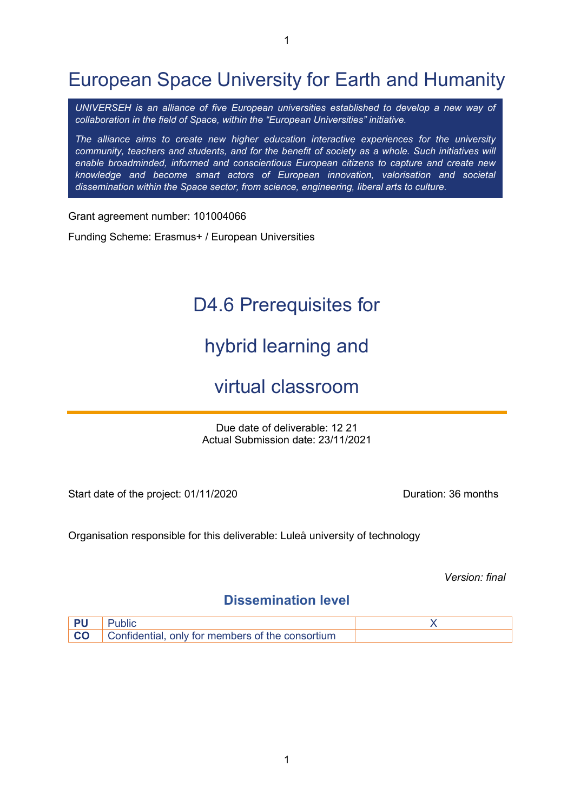1

*UNIVERSEH is an alliance of five European universities established to develop a new way of collaboration in the field of Space, within the "European Universities" initiative.*

*The alliance aims to create new higher education interactive experiences for the university community, teachers and students, and for the benefit of society as a whole. Such initiatives will enable broadminded, informed and conscientious European citizens to capture and create new knowledge and become smart actors of European innovation, valorisation and societal dissemination within the Space sector, from science, engineering, liberal arts to culture.*

Grant agreement number: 101004066

Funding Scheme: Erasmus+ / European Universities

# D4.6 Prerequisites for

# hybrid learning and

## virtual classroom

Due date of deliverable: 12 21 Actual Submission date: 23/11/2021

Start date of the project: 01/11/2020

Organisation responsible for this deliverable: Luleå university of technology

*Version: final*

## **Dissemination level**

| <b>PU</b> Public                                           |  |
|------------------------------------------------------------|--|
| <b>CO</b> Confidential, only for members of the consortium |  |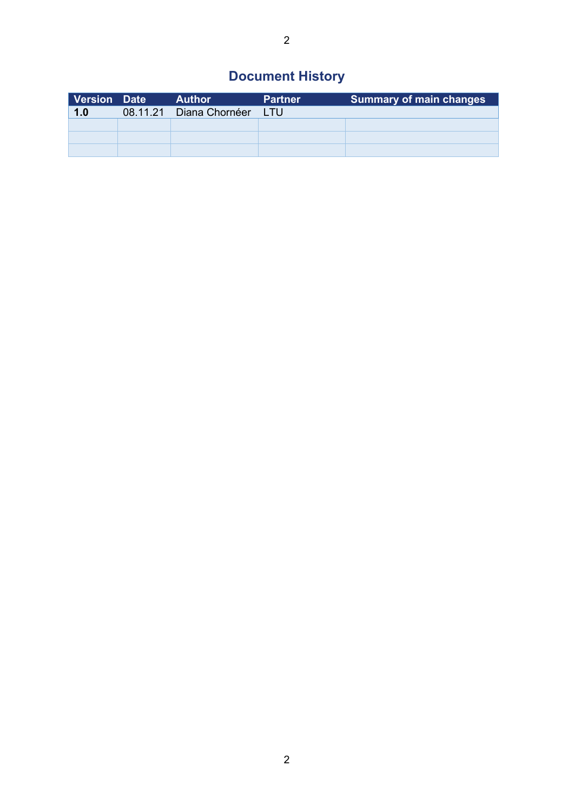## **Document History**

| Version Date | <b>Author</b>           | <b>Partner</b> | <b>Summary of main changes</b> |
|--------------|-------------------------|----------------|--------------------------------|
| 1.0          | 08.11.21 Diana Chornéer | LTU.           |                                |
|              |                         |                |                                |
|              |                         |                |                                |
|              |                         |                |                                |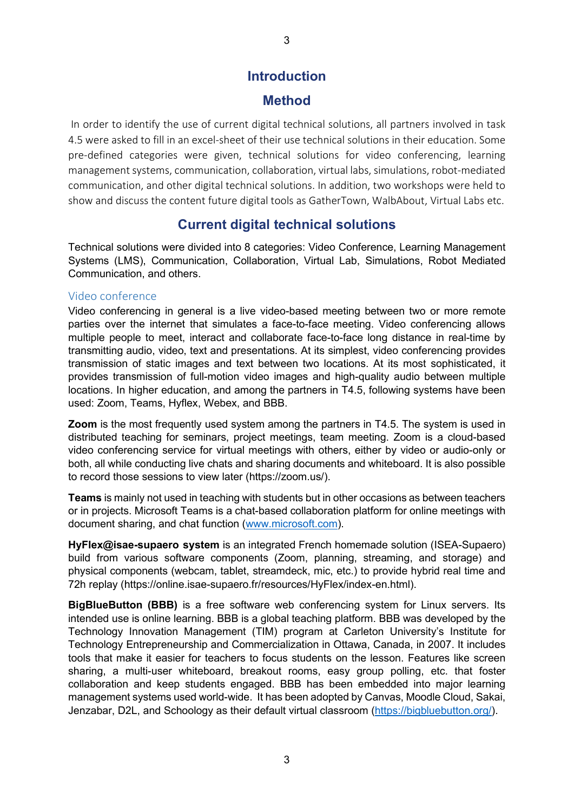## **Introduction**

## **Method**

In order to identify the use of current digital technical solutions, all partners involved in task 4.5 were asked to fill in an excel-sheet of their use technical solutions in their education. Some pre-defined categories were given, technical solutions for video conferencing, learning management systems, communication, collaboration, virtual labs, simulations, robot-mediated communication, and other digital technical solutions. In addition, two workshops were held to show and discuss the content future digital tools as GatherTown, WalbAbout, Virtual Labs etc.

## **Current digital technical solutions**

Technical solutions were divided into 8 categories: Video Conference, Learning Management Systems (LMS), Communication, Collaboration, Virtual Lab, Simulations, Robot Mediated Communication, and others.

#### Video conference

Video conferencing in general is a live video-based meeting between two or more remote parties over the internet that simulates a face-to-face meeting. Video conferencing allows multiple people to meet, interact and collaborate face-to-face long distance in real-time by transmitting audio, video, text and presentations. At its simplest, video conferencing provides transmission of static images and text between two locations. At its most sophisticated, it provides transmission of full-motion video images and high-quality audio between multiple locations. In higher education, and among the partners in T4.5, following systems have been used: Zoom, Teams, Hyflex, Webex, and BBB.

**Zoom** is the most frequently used system among the partners in T4.5. The system is used in distributed teaching for seminars, project meetings, team meeting. Zoom is a cloud-based video conferencing service for virtual meetings with others, either by video or audio-only or both, all while conducting live chats and sharing documents and whiteboard. It is also possible to record those sessions to view later (https://zoom.us/).

**Teams** is mainly not used in teaching with students but in other occasions as between teachers or in projects. Microsoft Teams is a chat-based collaboration platform for online meetings with document sharing, and chat function [\(www.microsoft.com\)](http://www.microsoft.com/).

**HyFlex@isae-supaero system** is an integrated French homemade solution (ISEA-Supaero) build from various software components (Zoom, planning, streaming, and storage) and physical components (webcam, tablet, streamdeck, mic, etc.) to provide hybrid real time and 72h replay (https://online.isae-supaero.fr/resources/HyFlex/index-en.html).

**BigBlueButton (BBB)** is a free software web conferencing system for Linux servers. Its intended use is online learning. BBB is a global teaching platform. BBB was developed by the Technology Innovation Management (TIM) program at Carleton University's Institute for Technology Entrepreneurship and Commercialization in Ottawa, Canada, in 2007. It includes tools that make it easier for teachers to focus students on the lesson. Features like screen sharing, a multi-user whiteboard, breakout rooms, easy group polling, etc. that foster collaboration and keep students engaged. BBB has been embedded into major learning management systems used world-wide. It has been adopted by Canvas, Moodle Cloud, Sakai, Jenzabar, D2L, and Schoology as their default virtual classroom [\(https://bigbluebutton.org/\)](https://bigbluebutton.org/).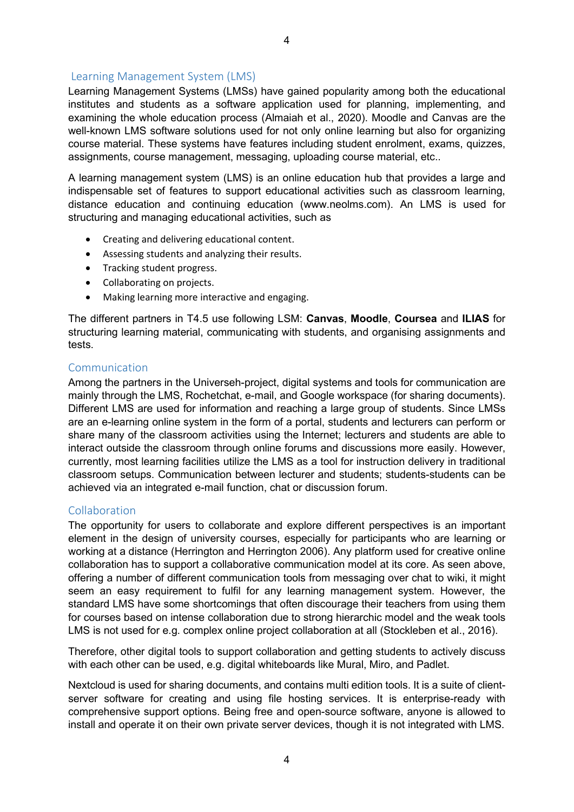#### Learning Management System (LMS)

Learning Management Systems (LMSs) have gained popularity among both the educational institutes and students as a software application used for planning, implementing, and examining the whole education process (Almaiah et al., 2020). Moodle and Canvas are the well-known LMS software solutions used for not only online learning but also for organizing course material. These systems have features including student enrolment, exams, quizzes, assignments, course management, messaging, uploading course material, etc..

A learning management system (LMS) is an online education hub that provides a large and indispensable set of features to support educational activities such as classroom learning, distance education and continuing education (www.neolms.com). An LMS is used for structuring and managing educational activities, such as

- Creating and delivering educational content.
- Assessing students and analyzing their results.
- Tracking student progress.
- Collaborating on projects.
- Making learning more interactive and engaging.

The different partners in T4.5 use following LSM: **Canvas**, **Moodle**, **Coursea** and **ILIAS** for structuring learning material, communicating with students, and organising assignments and tests.

#### Communication

Among the partners in the Universeh-project, digital systems and tools for communication are mainly through the LMS, Rochetchat, e-mail, and Google workspace (for sharing documents). Different LMS are used for information and reaching a large group of students. Since LMSs are an e-learning online system in the form of a portal, students and lecturers can perform or share many of the classroom activities using the Internet; lecturers and students are able to interact outside the classroom through online forums and discussions more easily. However, currently, most learning facilities utilize the LMS as a tool for instruction delivery in traditional classroom setups. Communication between lecturer and students; students-students can be achieved via an integrated e-mail function, chat or discussion forum.

#### Collaboration

The opportunity for users to collaborate and explore different perspectives is an important element in the design of university courses, especially for participants who are learning or working at a distance (Herrington and Herrington 2006). Any platform used for creative online collaboration has to support a collaborative communication model at its core. As seen above, offering a number of different communication tools from messaging over chat to wiki, it might seem an easy requirement to fulfil for any learning management system. However, the standard LMS have some shortcomings that often discourage their teachers from using them for courses based on intense collaboration due to strong hierarchic model and the weak tools LMS is not used for e.g. complex online project collaboration at all (Stockleben et al., 2016).

Therefore, other digital tools to support collaboration and getting students to actively discuss with each other can be used, e.g. digital whiteboards like Mural, Miro, and Padlet.

Nextcloud is used for sharing documents, and contains multi edition tools. It is a suite of clientserver software for creating and using file hosting services. It is enterprise-ready with comprehensive support options. Being free and open-source software, anyone is allowed to install and operate it on their own private server devices, though it is not integrated with LMS.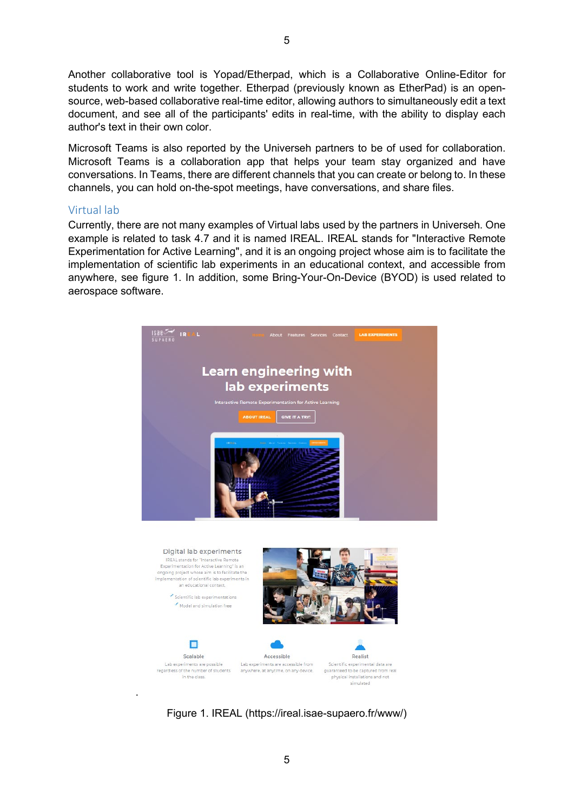Another collaborative tool is Yopad/Etherpad, which is a Collaborative Online-Editor for students to work and write together. Etherpad (previously known as EtherPad) is an opensource, web-based collaborative real-time editor, allowing authors to simultaneously edit a text document, and see all of the participants' edits in real-time, with the ability to display each author's text in their own color.

Microsoft Teams is also reported by the Universeh partners to be of used for collaboration. Microsoft Teams is a collaboration app that helps your team stay organized and have conversations. In Teams, there are different channels that you can create or belong to. In these channels, you can hold on-the-spot meetings, have conversations, and share files.

#### Virtual lab

.

Currently, there are not many examples of Virtual labs used by the partners in Universeh. One example is related to task 4.7 and it is named IREAL. IREAL stands for "Interactive Remote Experimentation for Active Learning", and it is an ongoing project whose aim is to facilitate the implementation of scientific lab experiments in an educational context, and accessible from anywhere, see figure 1. In addition, some Bring-Your-On-Device (BYOD) is used related to aerospace software.







simulated

5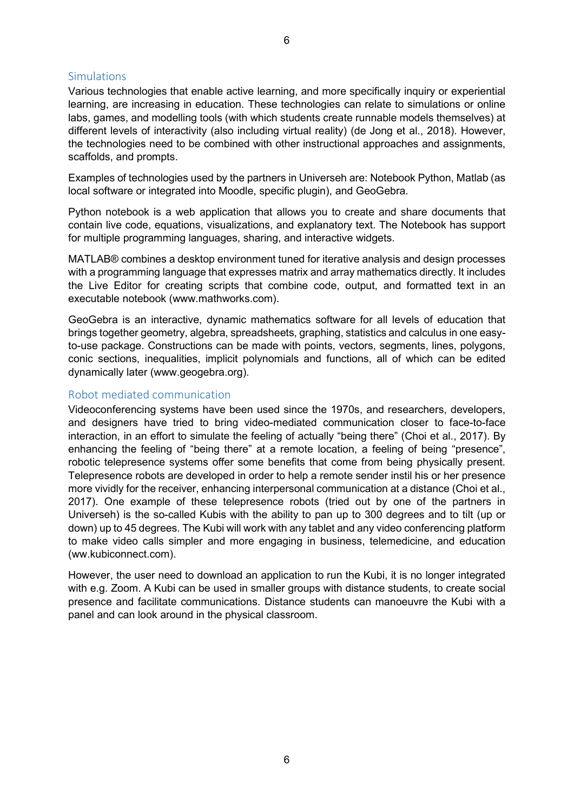#### **Simulations**

Various technologies that enable active learning, and more specifically inquiry or experiential learning, are increasing in education. These technologies can relate to simulations or online labs, games, and modelling tools (with which students create runnable models themselves) at different levels of interactivity (also including virtual reality) (de Jong et al., 2018). However, the technologies need to be combined with other instructional approaches and assignments, scaffolds, and prompts.

Examples of technologies used by the partners in Universeh are: Notebook Python, Matlab (as local software or integrated into Moodle, specific plugin), and GeoGebra.

Python notebook is a web application that allows you to create and share documents that contain live code, equations, visualizations, and explanatory text. The Notebook has support for multiple programming languages, sharing, and interactive widgets.

MATLAB® combines a desktop environment tuned for iterative analysis and design processes with a programming language that expresses matrix and array mathematics directly. It includes the Live Editor for creating scripts that combine code, output, and formatted text in an executable notebook [\(www.mathworks.com\)](http://www.mathworks.com/).

GeoGebra is an interactive, dynamic mathematics software for all levels of education that brings together geometry, algebra, spreadsheets, graphing, statistics and calculus in one easyto-use package. Constructions can be made with points, vectors, segments, lines, polygons, conic sections, inequalities, implicit polynomials and functions, all of which can be edited dynamically later (www.geogebra.org).

#### Robot mediated communication

Videoconferencing systems have been used since the 1970s, and researchers, developers, and designers have tried to bring video-mediated communication closer to face-to-face interaction, in an effort to simulate the feeling of actually "being there" (Choi et al., 2017). By enhancing the feeling of "being there" at a remote location, a feeling of being "presence", robotic telepresence systems offer some benefits that come from being physically present. Telepresence robots are developed in order to help a remote sender instil his or her presence more vividly for the receiver, enhancing interpersonal communication at a distance (Choi et al., 2017). One example of these telepresence robots (tried out by one of the partners in Universeh) is the so-called Kubis with the ability to pan up to 300 degrees and to tilt (up or down) up to 45 degrees. The Kubi will work with any tablet and any video conferencing platform to make video calls simpler and more engaging in business, telemedicine, and education (ww.kubiconnect.com).

However, the user need to download an application to run the Kubi, it is no longer integrated with e.g. Zoom. A Kubi can be used in smaller groups with distance students, to create social presence and facilitate communications. Distance students can manoeuvre the Kubi with a panel and can look around in the physical classroom.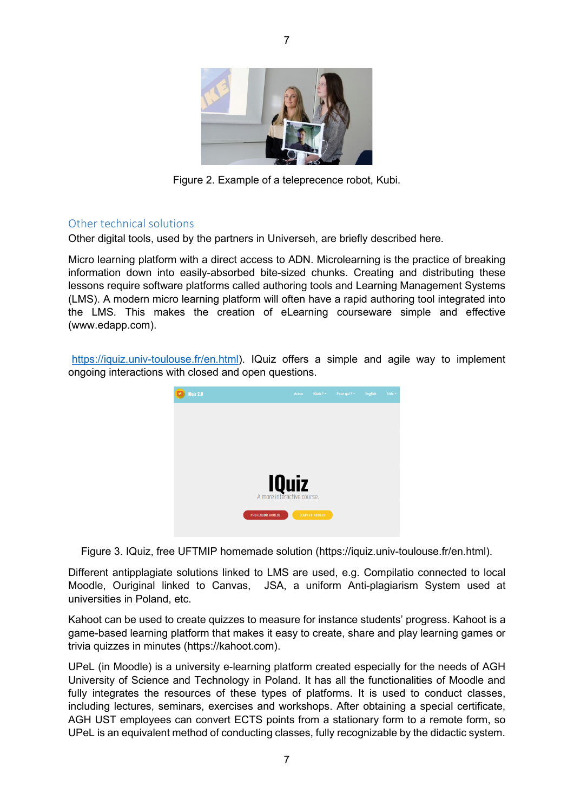

Figure 2. Example of a teleprecence robot, Kubi.

#### Other technical solutions

Other digital tools, used by the partners in Universeh, are briefly described here.

Micro learning platform with a direct access to ADN. Microlearning is the practice of breaking information down into easily-absorbed bite-sized chunks. Creating and distributing these lessons require software platforms called authoring tools and Learning Management Systems (LMS). A modern micro learning platform will often have a rapid authoring tool integrated into the LMS. This makes the creation of eLearning courseware simple and effective (www.edapp.com).

[https://iquiz.univ-toulouse.fr/en.html\)](https://iquiz.univ-toulouse.fr/en.html). IQuiz offers a simple and agile way to implement ongoing interactions with closed and open questions.



Figure 3. IQuiz, free UFTMIP homemade solution (https://iquiz.univ-toulouse.fr/en.html).

Different antipplagiate solutions linked to LMS are used, e.g. Compilatio connected to local Moodle, Ouriginal linked to Canvas, JSA, a uniform Anti-plagiarism System used at universities in Poland, etc.

Kahoot can be used to create quizzes to measure for instance students' progress. Kahoot is a game-based learning platform that makes it easy to create, share and play learning games or trivia quizzes in minutes (https://kahoot.com).

UPeL (in Moodle) is a university e-learning platform created especially for the needs of AGH University of Science and Technology in Poland. It has all the functionalities of Moodle and fully integrates the resources of these types of platforms. It is used to conduct classes, including lectures, seminars, exercises and workshops. After obtaining a special certificate, AGH UST employees can convert ECTS points from a stationary form to a remote form, so UPeL is an equivalent method of conducting classes, fully recognizable by the didactic system.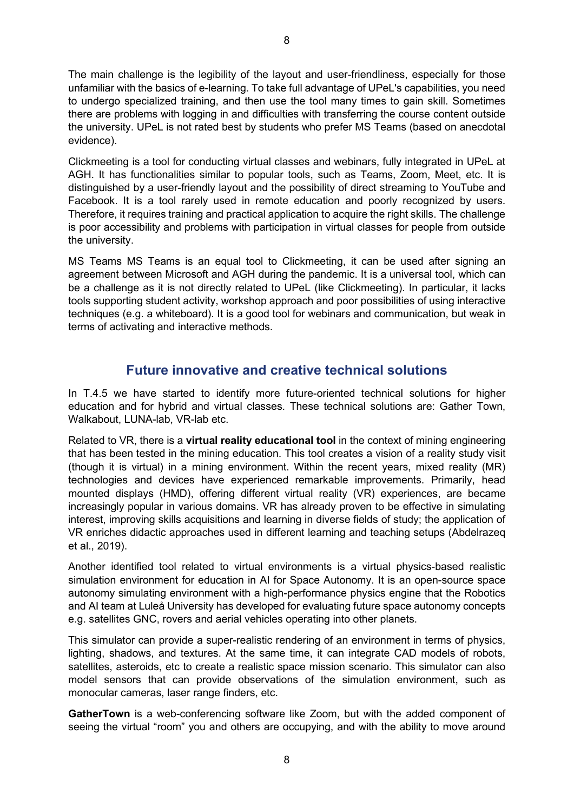The main challenge is the legibility of the layout and user-friendliness, especially for those unfamiliar with the basics of e-learning. To take full advantage of UPeL's capabilities, you need to undergo specialized training, and then use the tool many times to gain skill. Sometimes there are problems with logging in and difficulties with transferring the course content outside the university. UPeL is not rated best by students who prefer MS Teams (based on anecdotal evidence).

Clickmeeting is a tool for conducting virtual classes and webinars, fully integrated in UPeL at AGH. It has functionalities similar to popular tools, such as Teams, Zoom, Meet, etc. It is distinguished by a user-friendly layout and the possibility of direct streaming to YouTube and Facebook. It is a tool rarely used in remote education and poorly recognized by users. Therefore, it requires training and practical application to acquire the right skills. The challenge is poor accessibility and problems with participation in virtual classes for people from outside the university.

MS Teams MS Teams is an equal tool to Clickmeeting, it can be used after signing an agreement between Microsoft and AGH during the pandemic. It is a universal tool, which can be a challenge as it is not directly related to UPeL (like Clickmeeting). In particular, it lacks tools supporting student activity, workshop approach and poor possibilities of using interactive techniques (e.g. a whiteboard). It is a good tool for webinars and communication, but weak in terms of activating and interactive methods.

## **Future innovative and creative technical solutions**

In T.4.5 we have started to identify more future-oriented technical solutions for higher education and for hybrid and virtual classes. These technical solutions are: Gather Town, Walkabout, LUNA-lab, VR-lab etc.

Related to VR, there is a **virtual reality educational tool** in the context of mining engineering that has been tested in the mining education. This tool creates a vision of a reality study visit (though it is virtual) in a mining environment. Within the recent years, mixed reality (MR) technologies and devices have experienced remarkable improvements. Primarily, head mounted displays (HMD), offering different virtual reality (VR) experiences, are became increasingly popular in various domains. VR has already proven to be effective in simulating interest, improving skills acquisitions and learning in diverse fields of study; the application of VR enriches didactic approaches used in different learning and teaching setups (Abdelrazeq et al., 2019).

Another identified tool related to virtual environments is a virtual physics-based realistic simulation environment for education in AI for Space Autonomy. It is an open-source space autonomy simulating environment with a high-performance physics engine that the Robotics and AI team at Luleå University has developed for evaluating future space autonomy concepts e.g. satellites GNC, rovers and aerial vehicles operating into other planets.

This simulator can provide a super-realistic rendering of an environment in terms of physics, lighting, shadows, and textures. At the same time, it can integrate CAD models of robots, satellites, asteroids, etc to create a realistic space mission scenario. This simulator can also model sensors that can provide observations of the simulation environment, such as monocular cameras, laser range finders, etc.

**GatherTown** is a web-conferencing software like Zoom, but with the added component of seeing the virtual "room" you and others are occupying, and with the ability to move around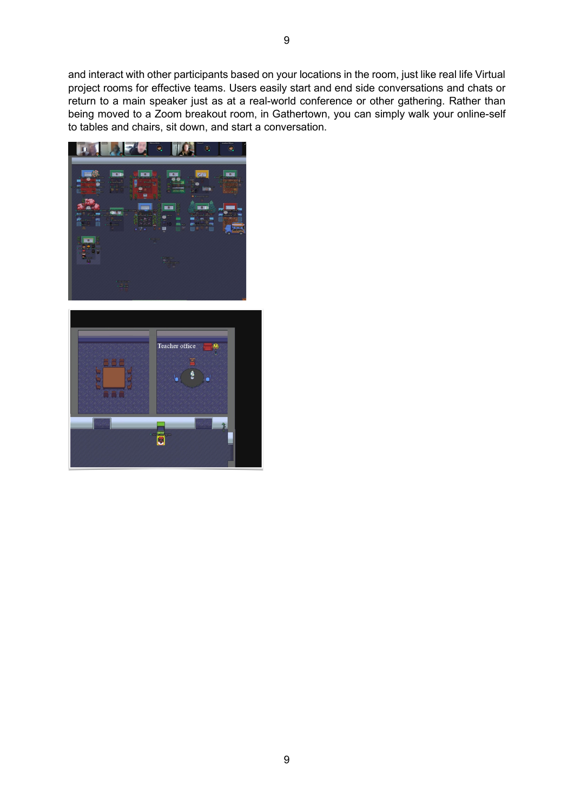and interact with other participants based on your locations in the room, just like real life Virtual project rooms for effective teams. Users easily start and end side conversations and chats or return to a main speaker just as at a real-world conference or other gathering. Rather than being moved to a Zoom breakout room, in Gathertown, you can simply walk your online-self to tables and chairs, sit down, and start a conversation.



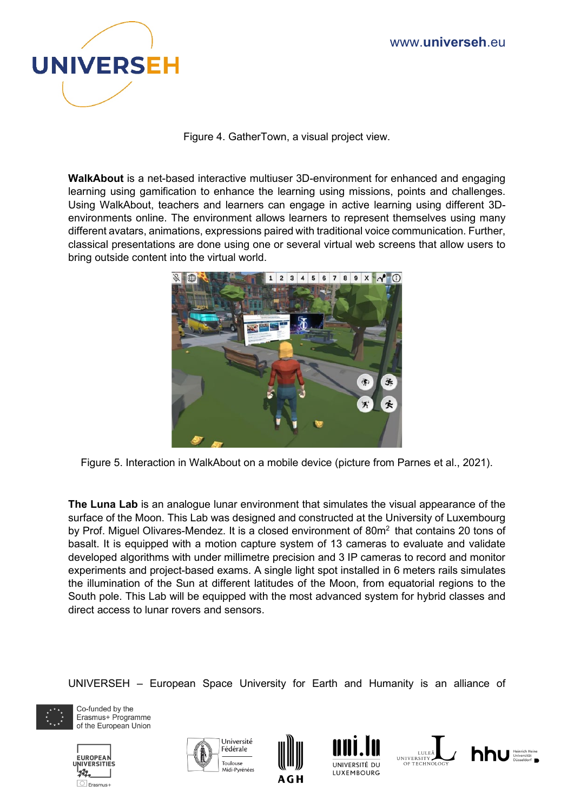

Figure 4. GatherTown, a visual project view.

**WalkAbout** is a net-based interactive multiuser 3D-environment for enhanced and engaging learning using gamification to enhance the learning using missions, points and challenges. Using WalkAbout, teachers and learners can engage in active learning using different 3Denvironments online. The environment allows learners to represent themselves using many different avatars, animations, expressions paired with traditional voice communication. Further, classical presentations are done using one or several virtual web screens that allow users to bring outside content into the virtual world.



Figure 5. Interaction in WalkAbout on a mobile device (picture from Parnes et al., 2021).

**The Luna Lab** is an analogue lunar environment that simulates the visual appearance of the surface of the Moon. This Lab was designed and constructed at the University of Luxembourg by Prof. Miguel Olivares-Mendez. It is a closed environment of  $80m<sup>2</sup>$  that contains 20 tons of basalt. It is equipped with a motion capture system of 13 cameras to evaluate and validate developed algorithms with under millimetre precision and 3 IP cameras to record and monitor experiments and project-based exams. A single light spot installed in 6 meters rails simulates the illumination of the Sun at different latitudes of the Moon, from equatorial regions to the South pole. This Lab will be equipped with the most advanced system for hybrid classes and direct access to lunar rovers and sensors.

UNIVERSEH – European Space University for Earth and Humanity is an alliance of



Co-funded by the Erasmus+ Programme of the European Union











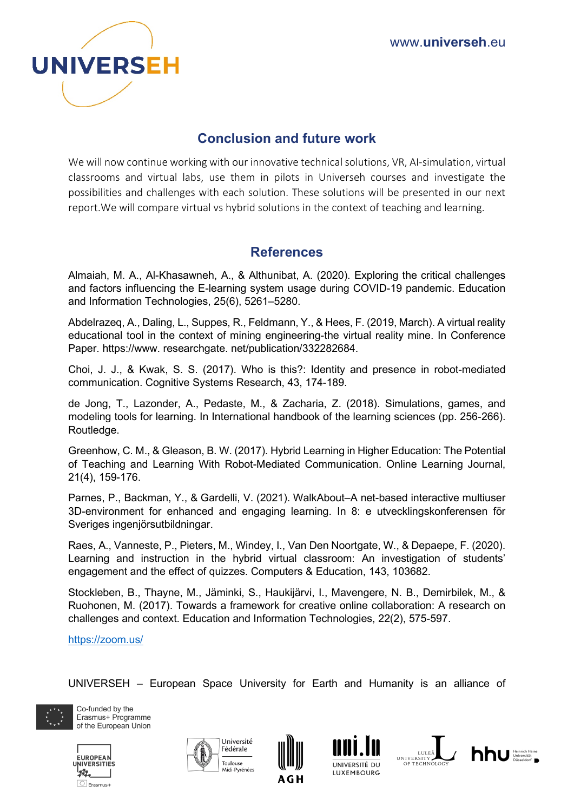

## **Conclusion and future work**

We will now continue working with our innovative technical solutions, VR, AI-simulation, virtual classrooms and virtual labs, use them in pilots in Universeh courses and investigate the possibilities and challenges with each solution. These solutions will be presented in our next report.We will compare virtual vs hybrid solutions in the context of teaching and learning.

## **References**

Almaiah, M. A., Al-Khasawneh, A., & Althunibat, A. (2020). Exploring the critical challenges and factors influencing the E-learning system usage during COVID-19 pandemic. Education and Information Technologies, 25(6), 5261–5280.

Abdelrazeq, A., Daling, L., Suppes, R., Feldmann, Y., & Hees, F. (2019, March). A virtual reality educational tool in the context of mining engineering-the virtual reality mine. In Conference Paper. https://www. researchgate. net/publication/332282684.

Choi, J. J., & Kwak, S. S. (2017). Who is this?: Identity and presence in robot-mediated communication. Cognitive Systems Research, 43, 174-189.

de Jong, T., Lazonder, A., Pedaste, M., & Zacharia, Z. (2018). Simulations, games, and modeling tools for learning. In International handbook of the learning sciences (pp. 256-266). Routledge.

Greenhow, C. M., & Gleason, B. W. (2017). Hybrid Learning in Higher Education: The Potential of Teaching and Learning With Robot-Mediated Communication. Online Learning Journal, 21(4), 159-176.

Parnes, P., Backman, Y., & Gardelli, V. (2021). WalkAbout–A net-based interactive multiuser 3D-environment for enhanced and engaging learning. In 8: e utvecklingskonferensen för Sveriges ingenjörsutbildningar.

Raes, A., Vanneste, P., Pieters, M., Windey, I., Van Den Noortgate, W., & Depaepe, F. (2020). Learning and instruction in the hybrid virtual classroom: An investigation of students' engagement and the effect of quizzes. Computers & Education, 143, 103682.

Stockleben, B., Thayne, M., Jäminki, S., Haukijärvi, I., Mavengere, N. B., Demirbilek, M., & Ruohonen, M. (2017). Towards a framework for creative online collaboration: A research on challenges and context. Education and Information Technologies, 22(2), 575-597.

<https://zoom.us/>

UNIVERSEH – European Space University for Earth and Humanity is an alliance of



Co-funded by the Erasmus+ Programme of the European Union